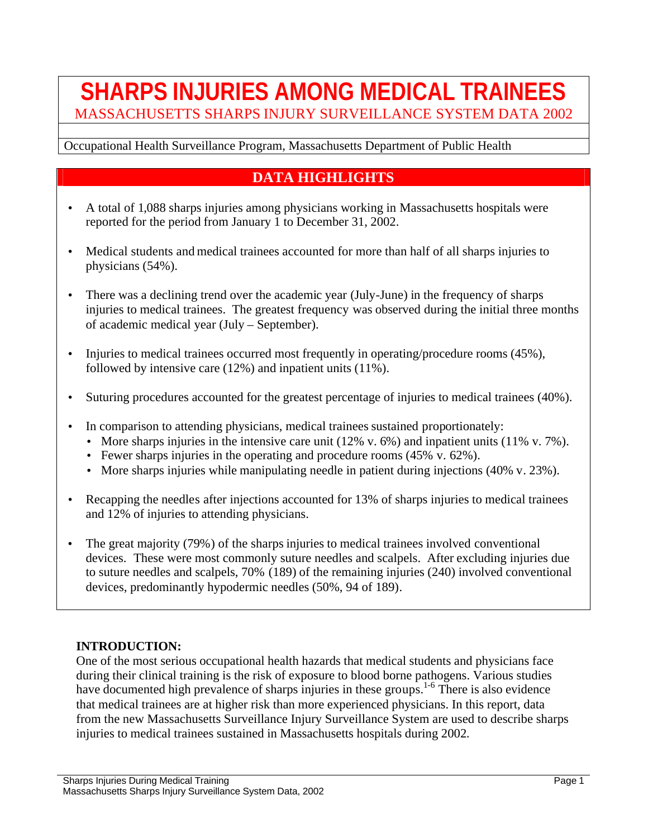# **SHARPS INJURIES AMONG MEDICAL TRAINEES** MASSACHUSETTS SHARPS INJURY SURVEILLANCE SYSTEM DATA 2002

#### Occupational Health Surveillance Program, Massachusetts Department of Public Health

## **DATA HIGHLIGHTS**

- A total of 1,088 sharps injuries among physicians working in Massachusetts hospitals were reported for the period from January 1 to December 31, 2002.
- Medical students and medical trainees accounted for more than half of all sharps injuries to physicians (54%).
- There was a declining trend over the academic year (July-June) in the frequency of sharps injuries to medical trainees. The greatest frequency was observed during the initial three months of academic medical year (July – September).
- Injuries to medical trainees occurred most frequently in operating/procedure rooms (45%), followed by intensive care (12%) and inpatient units (11%).
- Suturing procedures accounted for the greatest percentage of injuries to medical trainees (40%).
- In comparison to attending physicians, medical trainees sustained proportionately:
	- More sharps injuries in the intensive care unit  $(12\% \text{ v. } 6\%)$  and inpatient units  $(11\% \text{ v. } 7\%)$ .
	- Fewer sharps injuries in the operating and procedure rooms (45% v. 62%).
	- More sharps injuries while manipulating needle in patient during injections (40% v. 23%).
- Recapping the needles after injections accounted for 13% of sharps injuries to medical trainees and 12% of injuries to attending physicians.
- The great majority (79%) of the sharps injuries to medical trainees involved conventional devices. These were most commonly suture needles and scalpels. After excluding injuries due to suture needles and scalpels, 70% (189) of the remaining injuries (240) involved conventional devices, predominantly hypodermic needles (50%, 94 of 189).

#### **INTRODUCTION:**

One of the most serious occupational health hazards that medical students and physicians face during their clinical training is the risk of exposure to blood borne pathogens. Various studies have documented high prevalence of sharps injuries in these groups.<sup>1-6</sup> There is also evidence that medical trainees are at higher risk than more experienced physicians. In this report, data from the new Massachusetts Surveillance Injury Surveillance System are used to describe sharps injuries to medical trainees sustained in Massachusetts hospitals during 2002.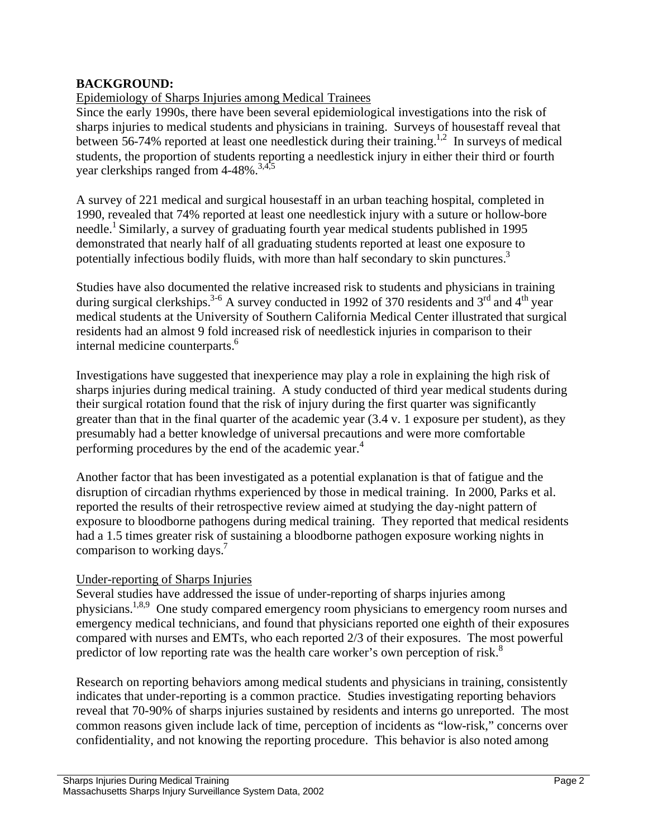## **BACKGROUND:**

## Epidemiology of Sharps Injuries among Medical Trainees

Since the early 1990s, there have been several epidemiological investigations into the risk of sharps injuries to medical students and physicians in training. Surveys of housestaff reveal that between 56-74% reported at least one needlestick during their training.<sup>1,2</sup> In surveys of medical students, the proportion of students reporting a needlestick injury in either their third or fourth year clerkships ranged from 4-48%.<sup>3,4,5</sup>

A survey of 221 medical and surgical housestaff in an urban teaching hospital, completed in 1990, revealed that 74% reported at least one needlestick injury with a suture or hollow-bore needle.<sup>1</sup> Similarly, a survey of graduating fourth year medical students published in 1995 demonstrated that nearly half of all graduating students reported at least one exposure to potentially infectious bodily fluids, with more than half secondary to skin punctures.<sup>3</sup>

Studies have also documented the relative increased risk to students and physicians in training during surgical clerkships.<sup>3-6</sup> A survey conducted in 1992 of 370 residents and 3<sup>rd</sup> and 4<sup>th</sup> year medical students at the University of Southern California Medical Center illustrated that surgical residents had an almost 9 fold increased risk of needlestick injuries in comparison to their internal medicine counterparts.<sup>6</sup>

Investigations have suggested that inexperience may play a role in explaining the high risk of sharps injuries during medical training. A study conducted of third year medical students during their surgical rotation found that the risk of injury during the first quarter was significantly greater than that in the final quarter of the academic year (3.4 v. 1 exposure per student), as they presumably had a better knowledge of universal precautions and were more comfortable performing procedures by the end of the academic year.<sup>4</sup>

Another factor that has been investigated as a potential explanation is that of fatigue and the disruption of circadian rhythms experienced by those in medical training. In 2000, Parks et al. reported the results of their retrospective review aimed at studying the day-night pattern of exposure to bloodborne pathogens during medical training. They reported that medical residents had a 1.5 times greater risk of sustaining a bloodborne pathogen exposure working nights in comparison to working days.<sup>7</sup>

#### Under-reporting of Sharps Injuries

Several studies have addressed the issue of under-reporting of sharps injuries among physicians.1,8,9 One study compared emergency room physicians to emergency room nurses and emergency medical technicians, and found that physicians reported one eighth of their exposures compared with nurses and EMTs, who each reported 2/3 of their exposures. The most powerful predictor of low reporting rate was the health care worker's own perception of risk.<sup>8</sup>

Research on reporting behaviors among medical students and physicians in training, consistently indicates that under-reporting is a common practice. Studies investigating reporting behaviors reveal that 70-90% of sharps injuries sustained by residents and interns go unreported. The most common reasons given include lack of time, perception of incidents as "low-risk," concerns over confidentiality, and not knowing the reporting procedure. This behavior is also noted among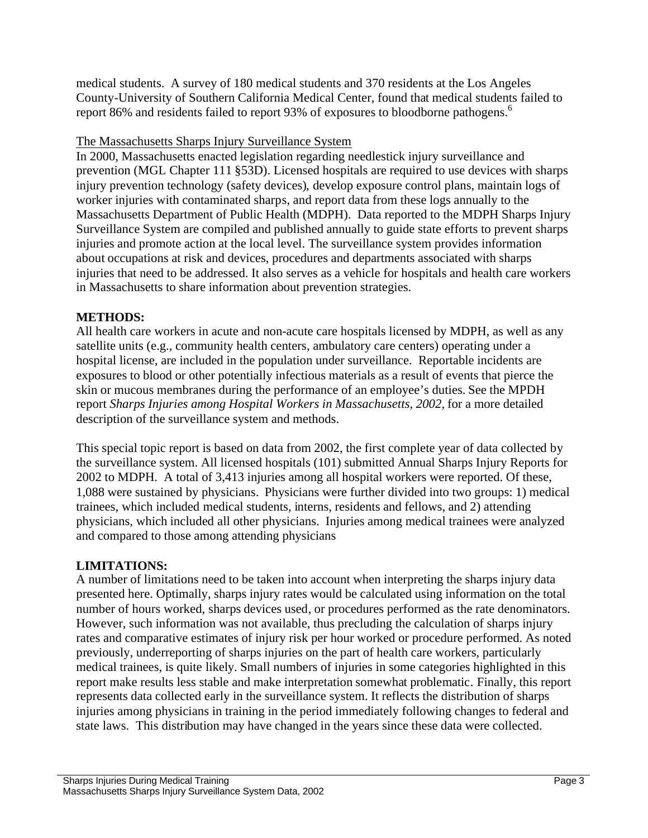medical students. A survey of 180 medical students and 370 residents at the Los Angeles County-University of Southern California Medical Center, found that medical students failed to report 86% and residents failed to report 93% of exposures to bloodborne pathogens. 6

## The Massachusetts Sharps Injury Surveillance System

In 2000, Massachusetts enacted legislation regarding needlestick injury surveillance and prevention (MGL Chapter 111 §53D). Licensed hospitals are required to use devices with sharps injury prevention technology (safety devices), develop exposure control plans, maintain logs of worker injuries with contaminated sharps, and report data from these logs annually to the Massachusetts Department of Public Health (MDPH). Data reported to the MDPH Sharps Injury Surveillance System are compiled and published annually to guide state efforts to prevent sharps injuries and promote action at the local level. The surveillance system provides information about occupations at risk and devices, procedures and departments associated with sharps injuries that need to be addressed. It also serves as a vehicle for hospitals and health care workers in Massachusetts to share information about prevention strategies.

## **METHODS:**

All health care workers in acute and non-acute care hospitals licensed by MDPH, as well as any satellite units (e.g., community health centers, ambulatory care centers) operating under a hospital license, are included in the population under surveillance. Reportable incidents are exposures to blood or other potentially infectious materials as a result of events that pierce the skin or mucous membranes during the performance of an employee's duties. See the MPDH report *Sharps Injuries among Hospital Workers in Massachusetts, 2002,* for a more detailed description of the surveillance system and methods.

This special topic report is based on data from 2002, the first complete year of data collected by the surveillance system. All licensed hospitals (101) submitted Annual Sharps Injury Reports for 2002 to MDPH. A total of 3,413 injuries among all hospital workers were reported. Of these, 1,088 were sustained by physicians. Physicians were further divided into two groups: 1) medical trainees, which included medical students, interns, residents and fellows, and 2) attending physicians, which included all other physicians. Injuries among medical trainees were analyzed and compared to those among attending physicians

## **LIMITATIONS:**

A number of limitations need to be taken into account when interpreting the sharps injury data presented here. Optimally, sharps injury rates would be calculated using information on the total number of hours worked, sharps devices used, or procedures performed as the rate denominators. However, such information was not available, thus precluding the calculation of sharps injury rates and comparative estimates of injury risk per hour worked or procedure performed. As noted previously, underreporting of sharps injuries on the part of health care workers, particularly medical trainees, is quite likely. Small numbers of injuries in some categories highlighted in this report make results less stable and make interpretation somewhat problematic. Finally, this report represents data collected early in the surveillance system. It reflects the distribution of sharps injuries among physicians in training in the period immediately following changes to federal and state laws. This distribution may have changed in the years since these data were collected.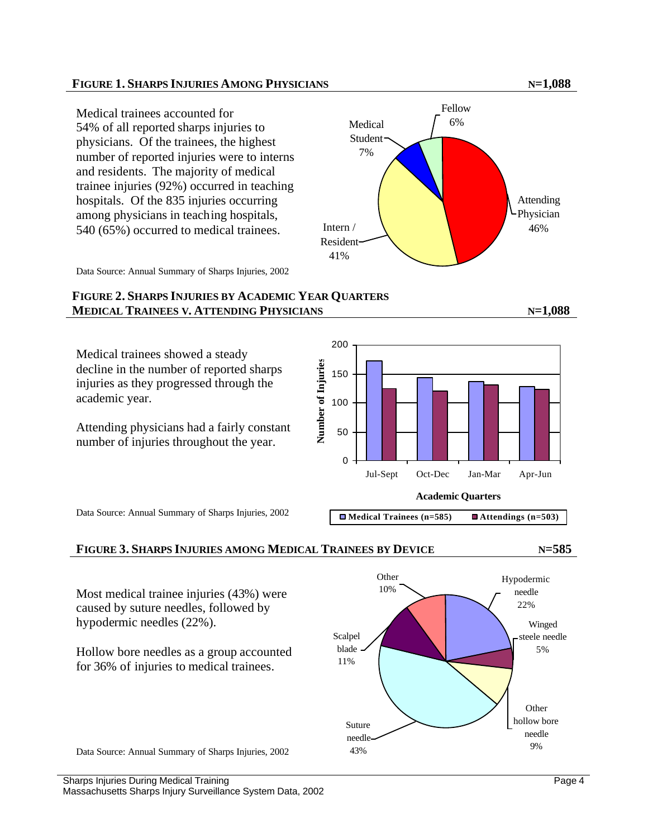#### **FIGURE 1. SHARPS INJURIES AMONG PHYSICIANS N=1,088**

Medical trainees accounted for 54% of all reported sharps injuries to physicians. Of the trainees, the highest number of reported injuries were to interns and residents. The majority of medical trainee injuries (92%) occurred in teaching hospitals. Of the 835 injuries occurring among physicians in teaching hospitals, 540 (65%) occurred to medical trainees.



Data Source: Annual Summary of Sharps Injuries, 2002

#### **FIGURE 2. SHARPS INJURIES BY ACADEMIC YEAR QUARTERS MEDICAL TRAINEES V. ATTENDING PHYSICIANS N=1,088**

Medical trainees showed a steady decline in the number of reported sharps injuries as they progressed through the academic year.

Attending physicians had a fairly constant number of injuries throughout the year.



Data Source: Annual Summary of Sharps Injuries, 2002

#### **FIGURE 3. SHARPS INJURIES AMONG MEDICAL TRAINEES BY DEVICE N=585**

Page 4

Most medical trainee injuries (43%) were caused by suture needles, followed by hypodermic needles (22%). Hollow bore needles as a group accounted for 36% of injuries to medical trainees.



Data Source: Annual Summary of Sharps Injuries, 2002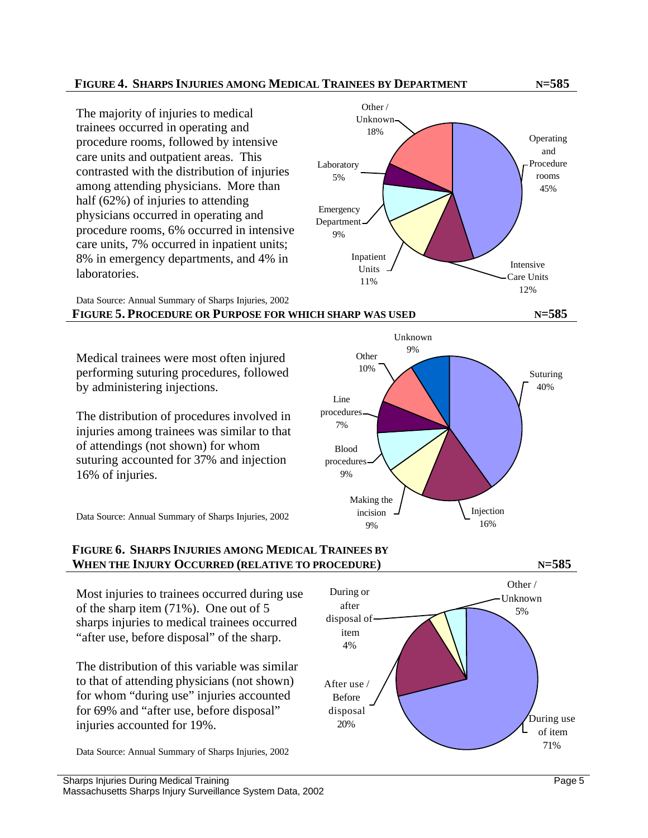#### **FIGURE 4. SHARPS INJURIES AMONG MEDICAL TRAINEES BY DEPARTMENT N=585**

The majority of injuries to medical trainees occurred in operating and procedure rooms, followed by intensive care units and outpatient areas. This contrasted with the distribution of injuries among attending physicians. More than half (62%) of injuries to attending physicians occurred in operating and procedure rooms, 6% occurred in intensive care units, 7% occurred in inpatient units; 8% in emergency departments, and 4% in laboratories.

Data Source: Annual Summary of Sharps Injuries, 2002 **FIGURE 5. PROCEDURE OR PURPOSE FOR WHICH SHARP WAS USED N=585**

Medical trainees were most often injured performing suturing procedures, followed by administering injections.

The distribution of procedures involved in injuries among trainees was similar to that of attendings (not shown) for whom suturing accounted for 37% and injection 16% of injuries.

Data Source: Annual Summary of Sharps Injuries, 2002

#### **FIGURE 6. SHARPS INJURIES AMONG MEDICAL TRAINEES BY WHEN THE INJURY OCCURRED (RELATIVE TO PROCEDURE) N=585**

Most injuries to trainees occurred during use of the sharp item (71%). One out of 5 sharps injuries to medical trainees occurred "after use, before disposal" of the sharp.

The distribution of this variable was similar to that of attending physicians (not shown) for whom "during use" injuries accounted for 69% and "after use, before disposal" injuries accounted for 19%.

Data Source: Annual Summary of Sharps Injuries, 2002



Other /



Other / Unknown 5% During or after disposal of item 4% After use / Before disposal 20% Puring use of item 71%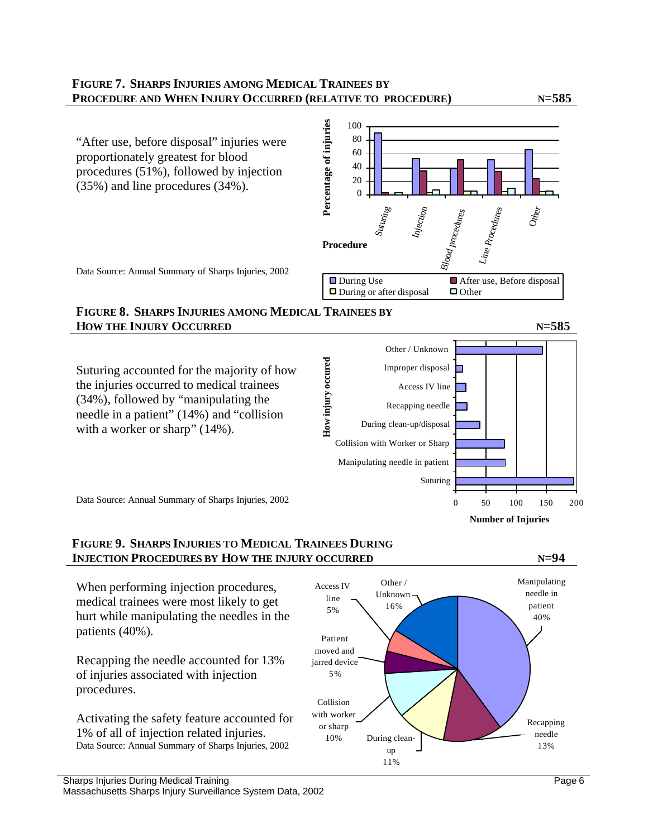#### **FIGURE 7. SHARPS INJURIES AMONG MEDICAL TRAINEES BY PROCEDURE AND WHEN INJURY OCCURRED (RELATIVE TO PROCEDURE) N=585**



## **FIGURE 8. SHARPS INJURIES AMONG MEDICAL TRAINEES BY HOW THE INJURY OCCURRED N=585**



**FIGURE 9. SHARPS INJURIES TO MEDICAL TRAINEES DURING INJECTION PROCEDURES BY HOW THE INJURY OCCURRED N=94**

When performing injection procedures, medical trainees were most likely to get hurt while manipulating the needles in the patients (40%).

Recapping the needle accounted for 13% of injuries associated with injection procedures.

Activating the safety feature accounted for 1% of all of injection related injuries. Data Source: Annual Summary of Sharps Injuries, 2002

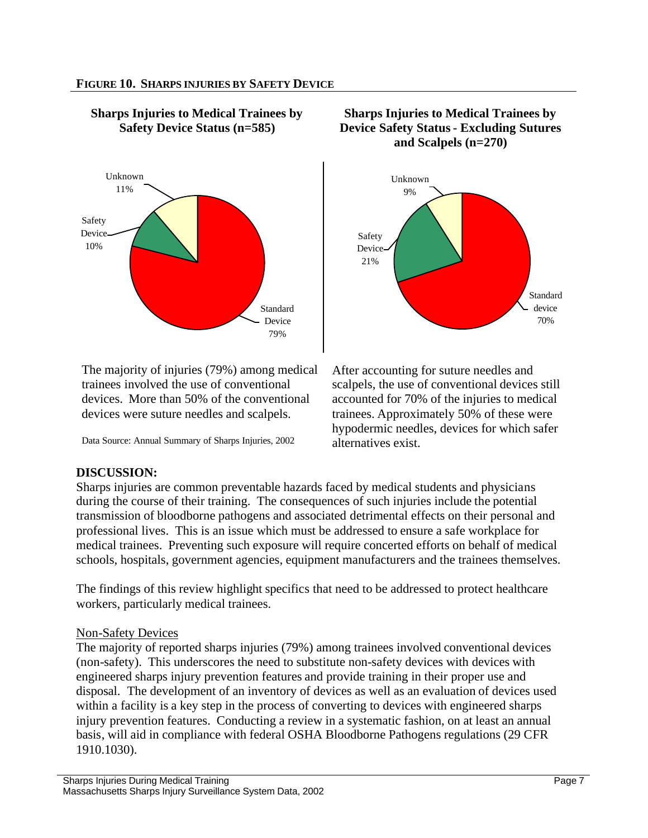

### **Sharps Injuries to Medical Trainees by Safety Device Status (n=585)**

The majority of injuries (79%) among medical trainees involved the use of conventional devices. More than 50% of the conventional devices were suture needles and scalpels.

Data Source: Annual Summary of Sharps Injuries, 2002

#### **Sharps Injuries to Medical Trainees by Device Safety Status - Excluding Sutures and Scalpels (n=270)**



After accounting for suture needles and scalpels, the use of conventional devices still accounted for 70% of the injuries to medical trainees. Approximately 50% of these were hypodermic needles, devices for which safer alternatives exist.

## **DISCUSSION:**

Sharps injuries are common preventable hazards faced by medical students and physicians during the course of their training. The consequences of such injuries include the potential transmission of bloodborne pathogens and associated detrimental effects on their personal and professional lives. This is an issue which must be addressed to ensure a safe workplace for medical trainees. Preventing such exposure will require concerted efforts on behalf of medical schools, hospitals, government agencies, equipment manufacturers and the trainees themselves.

The findings of this review highlight specifics that need to be addressed to protect healthcare workers, particularly medical trainees.

## Non-Safety Devices

The majority of reported sharps injuries (79%) among trainees involved conventional devices (non-safety). This underscores the need to substitute non-safety devices with devices with engineered sharps injury prevention features and provide training in their proper use and disposal. The development of an inventory of devices as well as an evaluation of devices used within a facility is a key step in the process of converting to devices with engineered sharps injury prevention features. Conducting a review in a systematic fashion, on at least an annual basis, will aid in compliance with federal OSHA Bloodborne Pathogens regulations (29 CFR 1910.1030).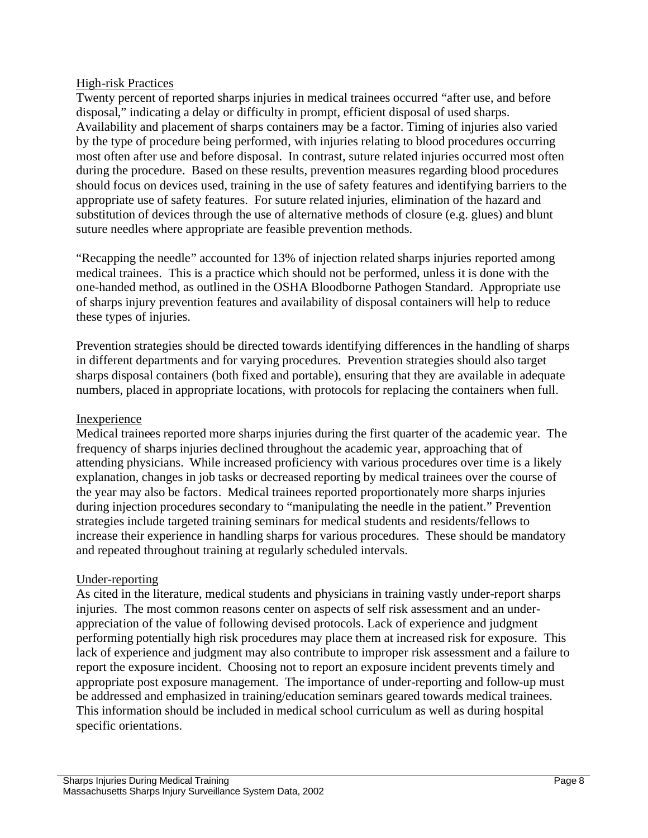#### High-risk Practices

Twenty percent of reported sharps injuries in medical trainees occurred "after use, and before disposal," indicating a delay or difficulty in prompt, efficient disposal of used sharps. Availability and placement of sharps containers may be a factor. Timing of injuries also varied by the type of procedure being performed, with injuries relating to blood procedures occurring most often after use and before disposal. In contrast, suture related injuries occurred most often during the procedure. Based on these results, prevention measures regarding blood procedures should focus on devices used, training in the use of safety features and identifying barriers to the appropriate use of safety features. For suture related injuries, elimination of the hazard and substitution of devices through the use of alternative methods of closure (e.g. glues) and blunt suture needles where appropriate are feasible prevention methods.

"Recapping the needle" accounted for 13% of injection related sharps injuries reported among medical trainees. This is a practice which should not be performed, unless it is done with the one-handed method, as outlined in the OSHA Bloodborne Pathogen Standard. Appropriate use of sharps injury prevention features and availability of disposal containers will help to reduce these types of injuries.

Prevention strategies should be directed towards identifying differences in the handling of sharps in different departments and for varying procedures. Prevention strategies should also target sharps disposal containers (both fixed and portable), ensuring that they are available in adequate numbers, placed in appropriate locations, with protocols for replacing the containers when full.

#### Inexperience

Medical trainees reported more sharps injuries during the first quarter of the academic year. The frequency of sharps injuries declined throughout the academic year, approaching that of attending physicians. While increased proficiency with various procedures over time is a likely explanation, changes in job tasks or decreased reporting by medical trainees over the course of the year may also be factors. Medical trainees reported proportionately more sharps injuries during injection procedures secondary to "manipulating the needle in the patient." Prevention strategies include targeted training seminars for medical students and residents/fellows to increase their experience in handling sharps for various procedures. These should be mandatory and repeated throughout training at regularly scheduled intervals.

#### Under-reporting

As cited in the literature, medical students and physicians in training vastly under-report sharps injuries. The most common reasons center on aspects of self risk assessment and an underappreciation of the value of following devised protocols. Lack of experience and judgment performing potentially high risk procedures may place them at increased risk for exposure. This lack of experience and judgment may also contribute to improper risk assessment and a failure to report the exposure incident. Choosing not to report an exposure incident prevents timely and appropriate post exposure management. The importance of under-reporting and follow-up must be addressed and emphasized in training/education seminars geared towards medical trainees. This information should be included in medical school curriculum as well as during hospital specific orientations.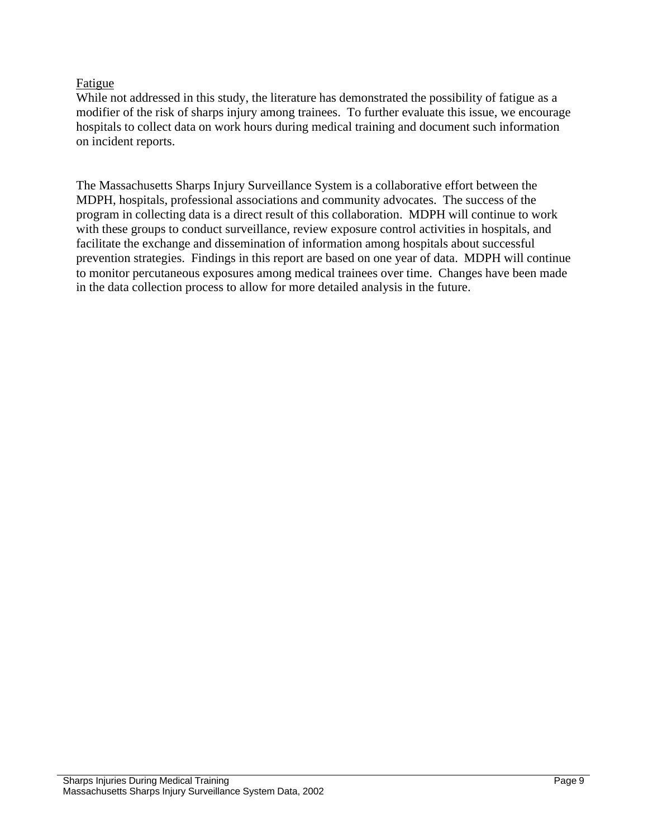#### Fatigue

While not addressed in this study, the literature has demonstrated the possibility of fatigue as a modifier of the risk of sharps injury among trainees. To further evaluate this issue, we encourage hospitals to collect data on work hours during medical training and document such information on incident reports.

The Massachusetts Sharps Injury Surveillance System is a collaborative effort between the MDPH, hospitals, professional associations and community advocates. The success of the program in collecting data is a direct result of this collaboration. MDPH will continue to work with these groups to conduct surveillance, review exposure control activities in hospitals, and facilitate the exchange and dissemination of information among hospitals about successful prevention strategies. Findings in this report are based on one year of data. MDPH will continue to monitor percutaneous exposures among medical trainees over time. Changes have been made in the data collection process to allow for more detailed analysis in the future.